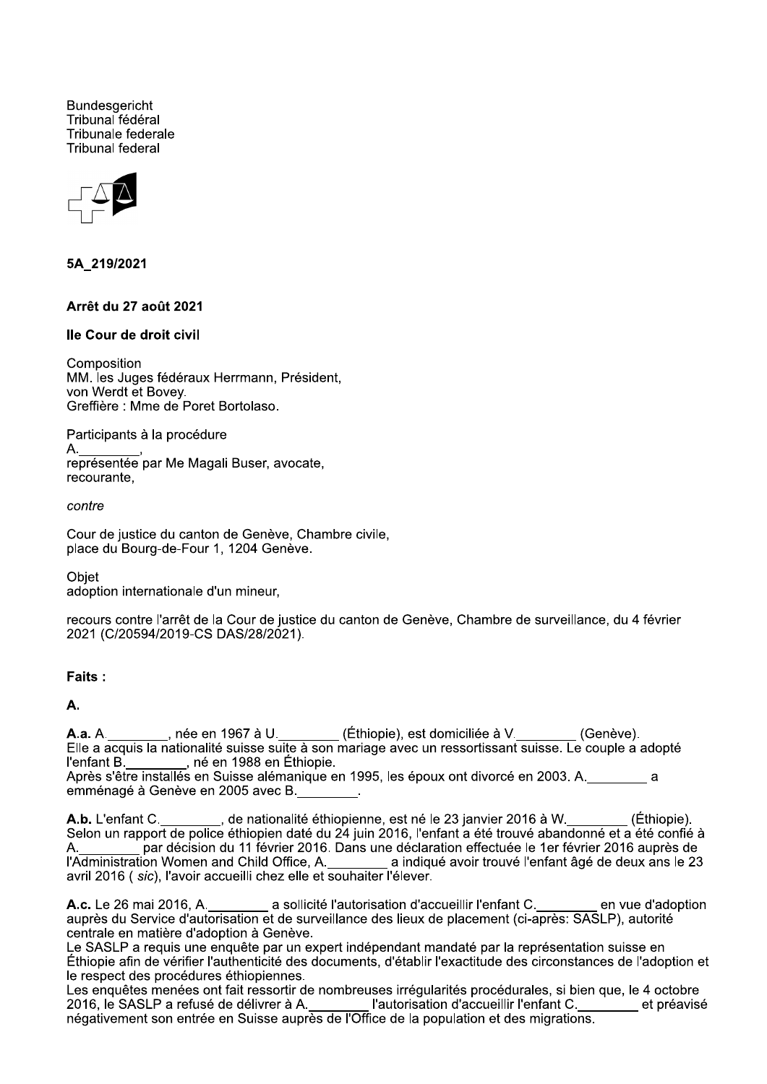**Bundesgericht** Tribunal fédéral Tribunale federale **Tribunal federal** 



5A 219/2021

## Arrêt du 27 août 2021

## Ile Cour de droit civil

Composition MM. les Juges fédéraux Herrmann, Président, von Werdt et Bovey. Greffière : Mme de Poret Bortolaso.

Participants à la procédure

représentée par Me Magali Buser, avocate. recourante.

contre

Cour de justice du canton de Genève, Chambre civile, place du Bourg-de-Four 1, 1204 Genève.

Objet adoption internationale d'un mineur,

recours contre l'arrêt de la Cour de justice du canton de Genève, Chambre de surveillance, du 4 février 2021 (C/20594/2019-CS DAS/28/2021).

#### Faits:

A.

A.a. A. \_\_\_\_\_\_\_\_\_, née en 1967 à U. \_\_\_\_\_\_\_\_ (Éthiopie), est domiciliée à V. \_\_\_\_\_\_\_ (Genève).<br>Elle a acquis la nationalité suisse suite à son mariage avec un ressortissant suisse. Le couple a adopté L'enfant B.<br>l'enfant B. \_\_\_\_\_\_\_\_, né en 1988 en Éthiopie.<br>Après s'être installés en Suisse alémanique en 1995, les époux ont divorcé en 2003. A. \_\_\_\_\_\_\_\_\_ a emménagé à Genève en 2005 avec B.

A.b. L'enfant C.<br>Selon un rapport de police éthiopien daté du 24 juin 2016, l'enfant a été trouvé abandonné et a été confié à par décision du 11 février 2016. Dans une déclaration effectuée le 1er février 2016 auprès de A. l'Administration Women and Child Office, A.<br>
a indiqué avoir trouvé l'enfant âgé de deux ans le 23 avril 2016 ( *sic*), l'avoir accueilli chez elle et souhaiter l'élever.

A.c. Le 26 mai 2016, A.<br>
a sollicité l'autorisation d'accueillir l'enfant C.<br>
auprès du Service d'autorisation et de surveillance des lieux de placement (ci-après: SASLP), autorité en vue d'adoption centrale en matière d'adoption à Genève.

Le SASLP a requis une enquête par un expert indépendant mandaté par la représentation suisse en Éthiopie afin de vérifier l'authenticité des documents, d'établir l'exactitude des circonstances de l'adoption et le respect des procédures éthiopiennes.

Les enquêtes menées ont fait ressortir de nombreuses irrégularités procédurales, si bien que, le 4 octobre 2016, le SASLP a refusé de délivrer à A. \_\_\_\_\_\_\_\_ l'autorisation d'accueillir l'enfant C. \_\_\_\_\_\_\_ et préavisé<br>négativement son entrée en Suisse auprès de l'Office de la population et des migrations.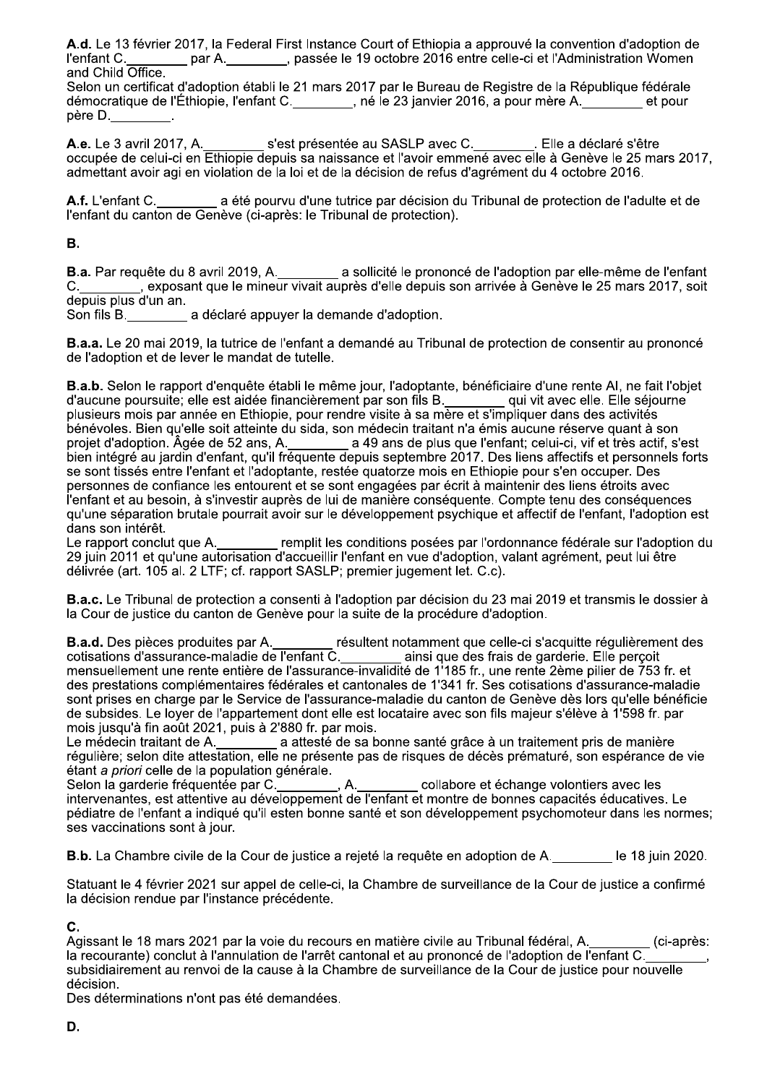A.d. Le 13 février 2017, la Federal First Instance Court of Ethiopia a approuvé la convention d'adoption de l'enfant C. par A. passée le 19 octobre 2016 entre celle-ci et l'Administration Women and Child Office.

Selon un certificat d'adoption établi le 21 mars 2017 par le Bureau de Registre de la République fédérale démocratique de l'Éthiopie, l'enfant C. \_\_\_\_\_\_\_, né le 23 janvier 2016, a pour mère A. \_\_\_\_\_\_ et pour père D.

A.e. Le 3 avril 2017, A. s'est présentée au SASLP avec C.<br>
. Elle a déclaré s'être occupée de celui-ci en Ethiopie depuis sa naissance et l'avoir emmené avec elle à Genève le 25 mars 2017, admettant avoir agi en violation de la loi et de la décision de refus d'agrément du 4 octobre 2016.

a été pourvu d'une tutrice par décision du Tribunal de protection de l'adulte et de A.f. L'enfant C. l'enfant du canton de Genève (ci-après: le Tribunal de protection).

## Β.

**B.a.** Par requête du 8 avril 2019, A.<br>C. \_\_\_\_\_\_\_\_, exposant que le mineur vivait auprès d'elle depuis son arrivée à Genève le 25 mars 2017, soit depuis plus d'un an.

Son fils B. a déclaré appuyer la demande d'adoption.

**B.a.a.** Le 20 mai 2019, la tutrice de l'enfant a demandé au Tribunal de protection de consentir au prononcé de l'adoption et de lever le mandat de tutelle.

B.a.b. Selon le rapport d'enquête établi le même jour, l'adoptante, bénéficiaire d'une rente AI, ne fait l'objet d'aucune poursuite; elle est aidée financièrement par son fils B.<br>plusieurs mois par année en Ethiopie, pour rendre visite à sa mère et s'impliquer dans des activités bénévoles. Bien qu'elle soit atteinte du sida, son médecin traitant n'a émis aucune réserve quant à son se sont tissés entre l'enfant et l'adoptante, restée quatorze mois en Ethiopie pour s'en occuper. Des personnes de confiance les entourent et se sont engagées par écrit à maintenir des liens étroits avec l'enfant et au besoin, à s'investir auprès de lui de manière conséquente. Compte tenu des conséquences qu'une séparation brutale pourrait avoir sur le développement psychique et affectif de l'enfant, l'adoption est dans son intérêt.

Le rapport conclut que A.<br>Le rapport conclut que A.<br>29 juin 2011 et qu'une autorisation d'accueillir l'enfant en vue d'adoption, valant agrément, peut lui être délivrée (art. 105 al. 2 LTF; cf. rapport SASLP; premier jugement let. C.c).

B.a.c. Le Tribunal de protection a consenti à l'adoption par décision du 23 mai 2019 et transmis le dossier à la Cour de justice du canton de Genève pour la suite de la procédure d'adoption.

B.a.d. Des pièces produites par A.<br>
cotisations d'assurance-maladie de l'enfant C.<br>
cotisations d'assurance-maladie de l'enfant C.<br>
mensuellement une rente entière de l'assurance-invalidité de 1'185 fr., une rente 2ème pil sont prises en charge par le Service de l'assurance-maladie du canton de Genève dès lors qu'elle bénéficie de subsides. Le loyer de l'appartement dont elle est locataire avec son fils majeur s'élève à 1'598 fr. par mois jusqu'à fin août 2021, puis à 2'880 fr. par mois.

Le médecin traitant de A.<br>Le médecin traitant de A.<br>régulière; selon dite attestation, elle ne présente pas de risques de décès prématuré, son espérance de vie étant a priori celle de la population générale.

Selon la garderie fréquentée par C.<br>intervenantes, est attentive au développement de l'enfant et montre de bonnes capacités éducatives. Le pédiatre de l'enfant a indiqué qu'il esten bonne santé et son développement psychomoteur dans les normes: ses vaccinations sont à jour.

**B.b.** La Chambre civile de la Cour de justice a rejeté la requête en adoption de A. Secole 18 juin 2020.

Statuant le 4 février 2021 sur appel de celle-ci, la Chambre de surveillance de la Cour de justice a confirmé la décision rendue par l'instance précédente.

# C.

la recourante) conclut à l'annulation de l'arrêt cantonal et au prononcé de l'adoption de l'enfant C.<br>subsidiairement au renvoi de la cause à la Chambre de survoillence de l'adoption de l'enfant C. subsidiairement au renvoi de la cause à la Chambre de surveillance de la Cour de justice pour nouvelle décision.

Des déterminations n'ont pas été demandées.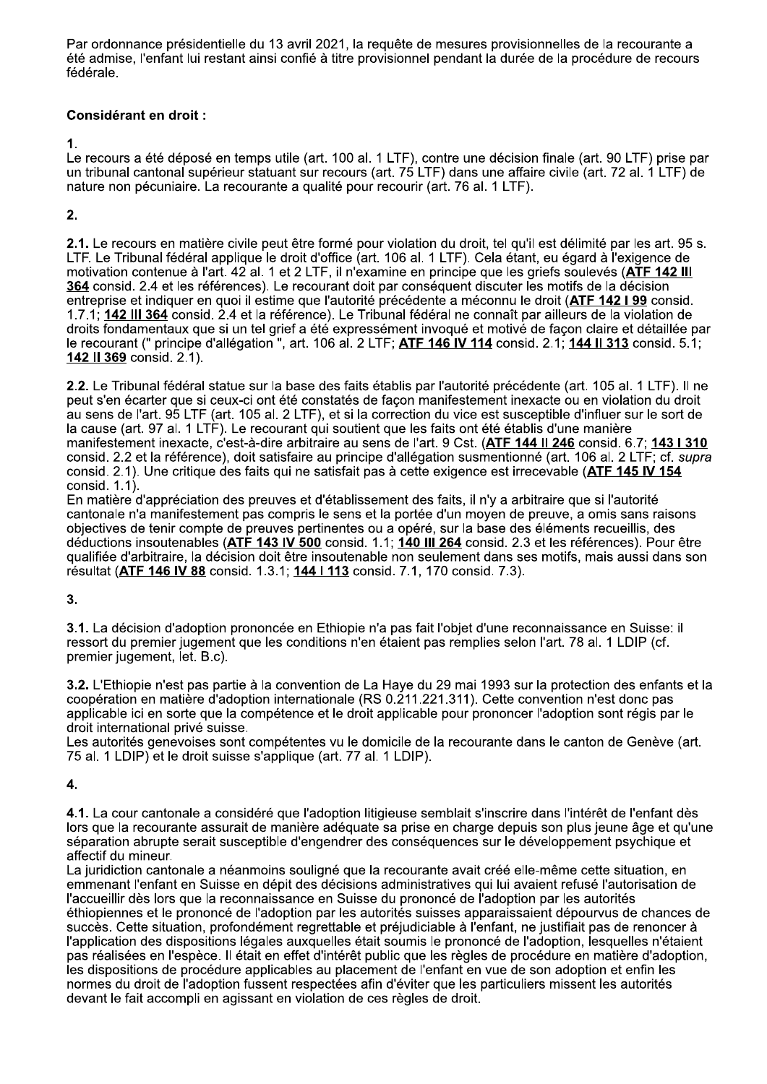Par ordonnance présidentielle du 13 avril 2021, la requête de mesures provisionnelles de la recourante a été admise, l'enfant lui restant ainsi confié à titre provisionnel pendant la durée de la procédure de recours fédérale.

## **Considérant en droit:**

1.

Le recours a été déposé en temps utile (art. 100 al. 1 LTF), contre une décision finale (art. 90 LTF) prise par un tribunal cantonal supérieur statuant sur recours (art. 75 LTF) dans une affaire civile (art. 72 al. 1 LTF) de nature non pécuniaire. La recourante a qualité pour recourir (art. 76 al. 1 LTF).

# $2.$

2.1. Le recours en matière civile peut être formé pour violation du droit, tel qu'il est délimité par les art. 95 s. LTF. Le Tribunal fédéral applique le droit d'office (art. 106 al. 1 LTF). Cela étant, eu égard à l'exigence de motivation contenue à l'art. 42 al. 1 et 2 LTF, il n'examine en principe que les griefs soulevés (ATF 142 III 364 consid. 2.4 et les références). Le recourant doit par conséquent discuter les motifs de la décision entreprise et indiquer en quoi il estime que l'autorité précédente a méconnu le droit (ATF 142 I 99 consid. 1.7.1; 142 III 364 consid. 2.4 et la référence). Le Tribunal fédéral ne connaît par ailleurs de la violation de droits fondamentaux que si un tel grief a été expressément invoqué et motivé de façon claire et détaillée par le recourant (" principe d'allégation ", art. 106 al. 2 LTF; **ATF 146 IV 114** consid. 2.1; 144 II 313 consid. 5.1; 142 II 369 consid. 2.1).

2.2. Le Tribunal fédéral statue sur la base des faits établis par l'autorité précédente (art. 105 al. 1 LTF). Il ne peut s'en écarter que si ceux-ci ont été constatés de façon manifestement inexacte ou en violation du droit au sens de l'art. 95 LTF (art. 105 al. 2 LTF), et si la correction du vice est susceptible d'influer sur le sort de la cause (art. 97 al. 1 LTF). Le recourant qui soutient que les faits ont été établis d'une manière manifestement inexacte, c'est-à-dire arbitraire au sens de l'art. 9 Cst. (ATF 144 Il 246 consid. 6.7; 143 I 310 consid. 2.2 et la référence), doit satisfaire au principe d'allégation susmentionné (art. 106 al. 2 LTF; cf. supra consid. 2.1). Une critique des faits qui ne satisfait pas à cette exigence est irrecevable (ATF 145 IV 154 consid.  $1.1$ ).

En matière d'appréciation des preuves et d'établissement des faits, il n'y a arbitraire que si l'autorité cantonale n'a manifestement pas compris le sens et la portée d'un moyen de preuve, a omis sans raisons objectives de tenir compte de preuves pertinentes ou a opéré, sur la base des éléments recueillis, des déductions insoutenables (ATF 143 IV 500 consid. 1.1; 140 III 264 consid. 2.3 et les références). Pour être qualifiée d'arbitraire, la décision doit être insoutenable non seulement dans ses motifs, mais aussi dans son résultat (ATF 146 IV 88 consid. 1.3.1; 144 I 113 consid. 7.1, 170 consid. 7.3).

# 3.

3.1. La décision d'adoption prononcée en Ethiopie n'a pas fait l'objet d'une reconnaissance en Suisse: il ressort du premier jugement que les conditions n'en étaient pas remplies selon l'art. 78 al. 1 LDIP (cf. premier jugement, let. B.c).

3.2. L'Ethiopie n'est pas partie à la convention de La Have du 29 mai 1993 sur la protection des enfants et la coopération en matière d'adoption internationale (RS 0.211.221.311). Cette convention n'est donc pas applicable ici en sorte que la compétence et le droit applicable pour prononcer l'adoption sont régis par le droit international privé suisse.

Les autorités genevoises sont compétentes vu le domicile de la recourante dans le canton de Genève (art. 75 al. 1 LDIP) et le droit suisse s'applique (art. 77 al. 1 LDIP).

# $\overline{\mathbf{4}}$ .

4.1. La cour cantonale a considéré que l'adoption litigieuse semblait s'inscrire dans l'intérêt de l'enfant dès lors que la recourante assurait de manière adéquate sa prise en charge depuis son plus ieune âge et qu'une séparation abrupte serait susceptible d'engendrer des conséquences sur le développement psychique et affectif du mineur.

La juridiction cantonale a néanmoins souligné que la recourante avait créé elle-même cette situation, en emmenant l'enfant en Suisse en dépit des décisions administratives qui lui avaient refusé l'autorisation de l'accueillir dès lors que la reconnaissance en Suisse du prononcé de l'adoption par les autorités éthiopiennes et le prononcé de l'adoption par les autorités suisses apparaissaient dépourvus de chances de succès. Cette situation, profondément regrettable et préjudiciable à l'enfant, ne justifiait pas de renoncer à l'application des dispositions légales auxquelles était soumis le prononcé de l'adoption, lesquelles n'étaient pas réalisées en l'espèce. Il était en effet d'intérêt public que les règles de procédure en matière d'adoption, les dispositions de procédure applicables au placement de l'enfant en vue de son adoption et enfin les normes du droit de l'adoption fussent respectées afin d'éviter que les particuliers missent les autorités devant le fait accompli en agissant en violation de ces règles de droit.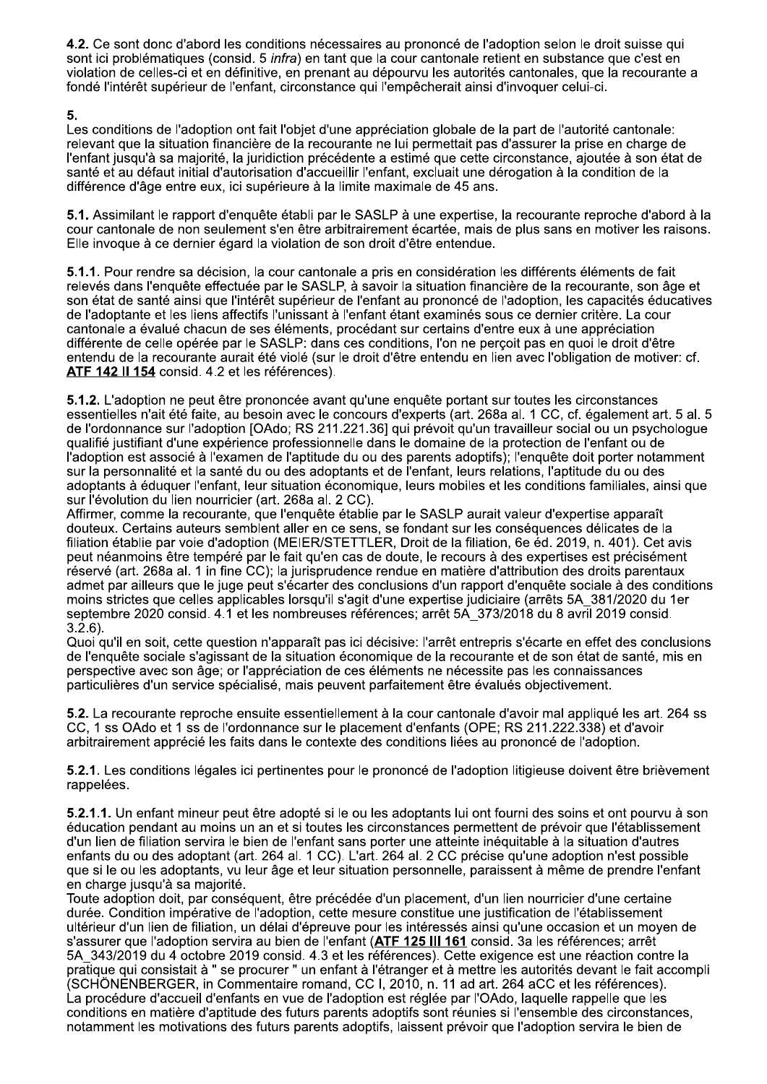4.2. Ce sont donc d'abord les conditions nécessaires au prononcé de l'adoption selon le droit suisse qui sont ici problématiques (consid. 5 infra) en tant que la cour cantonale retient en substance que c'est en violation de celles-ci et en définitive, en prenant au dépourvu les autorités cantonales, que la recourante a fondé l'intérêt supérieur de l'enfant, circonstance qui l'empêcherait ainsi d'invoquer celui-ci.

Les conditions de l'adoption ont fait l'objet d'une appréciation globale de la part de l'autorité cantonale: relevant que la situation financière de la recourante ne lui permettait pas d'assurer la prise en charge de l'enfant jusqu'à sa majorité, la juridiction précédente a estimé que cette circonstance, ajoutée à son état de santé et au défaut initial d'autorisation d'accueillir l'enfant, excluait une dérogation à la condition de la différence d'âge entre eux, ici supérieure à la limite maximale de 45 ans.

5.1. Assimilant le rapport d'enquête établi par le SASLP à une expertise, la recourante reproche d'abord à la cour cantonale de non seulement s'en être arbitrairement écartée, mais de plus sans en motiver les raisons. Elle invoque à ce dernier égard la violation de son droit d'être entendue.

5.1.1. Pour rendre sa décision, la cour cantonale a pris en considération les différents éléments de fait relevés dans l'enquête effectuée par le SASLP, à savoir la situation financière de la recourante, son âge et son état de santé ainsi que l'intérêt supérieur de l'enfant au prononcé de l'adoption, les capacités éducatives de l'adoptante et les liens affectifs l'unissant à l'enfant étant examinés sous ce dernier critère. La cour cantonale a évalué chacun de ses éléments, procédant sur certains d'entre eux à une appréciation différente de celle opérée par le SASLP: dans ces conditions, l'on ne perçoit pas en quoi le droit d'être entendu de la recourante aurait été violé (sur le droit d'être entendu en lien avec l'obligation de motiver: cf. ATF 142 Il 154 consid. 4.2 et les références).

5.1.2. L'adoption ne peut être prononcée avant qu'une enquête portant sur toutes les circonstances essentielles n'ait été faite, au besoin avec le concours d'experts (art. 268a al. 1 CC, cf. également art. 5 al. 5 de l'ordonnance sur l'adoption [OAdo; RS 211.221.36] qui prévoit qu'un travailleur social ou un psychologue qualifié justifiant d'une expérience professionnelle dans le domaine de la protection de l'enfant ou de l'adoption est associé à l'examen de l'aptitude du ou des parents adoptifs); l'enquête doit porter notamment sur la personnalité et la santé du ou des adoptants et de l'enfant, leurs relations, l'aptitude du ou des adoptants à éduquer l'enfant, leur situation économique, leurs mobiles et les conditions familiales, ainsi que sur l'évolution du lien nourricier (art. 268a al. 2 CC).

Affirmer, comme la recourante, que l'enquête établie par le SASLP aurait valeur d'expertise apparaît douteux. Certains auteurs semblent aller en ce sens, se fondant sur les conséquences délicates de la filiation établie par voie d'adoption (MEIER/STETTLER, Droit de la filiation, 6e éd. 2019, n. 401). Cet avis peut néanmoins être tempéré par le fait qu'en cas de doute, le recours à des expertises est précisément réservé (art. 268a al. 1 in fine CC); la jurisprudence rendue en matière d'attribution des droits parentaux admet par ailleurs que le juge peut s'écarter des conclusions d'un rapport d'enguête sociale à des conditions moins strictes que celles applicables lorsqu'il s'agit d'une expertise judiciaire (arrêts 5A 381/2020 du 1er septembre 2020 consid. 4.1 et les nombreuses références: arrêt 5A 373/2018 du 8 avril 2019 consid.  $3.\overline{2}.\overline{6}$ ).

Quoi qu'il en soit, cette question n'apparaît pas ici décisive: l'arrêt entrepris s'écarte en effet des conclusions de l'enquête sociale s'agissant de la situation économique de la recourante et de son état de santé, mis en perspective avec son âge; or l'appréciation de ces éléments ne nécessite pas les connaissances particulières d'un service spécialisé, mais peuvent parfaitement être évalués objectivement.

5.2. La recourante reproche ensuite essentiellement à la cour cantonale d'avoir mal appliqué les art. 264 ss CC, 1 ss OAdo et 1 ss de l'ordonnance sur le placement d'enfants (OPE; RS 211.222.338) et d'avoir arbitrairement apprécié les faits dans le contexte des conditions liées au prononcé de l'adoption.

5.2.1. Les conditions légales ici pertinentes pour le prononcé de l'adoption litigieuse doivent être brièvement rappelées.

5.2.1.1. Un enfant mineur peut être adopté si le ou les adoptants lui ont fourni des soins et ont pourvu à son éducation pendant au moins un an et si toutes les circonstances permettent de prévoir que l'établissement d'un lien de filiation servira le bien de l'enfant sans porter une atteinte inéquitable à la situation d'autres enfants du ou des adoptant (art. 264 al. 1 CC). L'art. 264 al. 2 CC précise qu'une adoption n'est possible que si le ou les adoptants, vu leur âge et leur situation personnelle, paraissent à même de prendre l'enfant en charge jusqu'à sa majorité.

Toute adoption doit, par conséquent, être précédée d'un placement, d'un lien nourricier d'une certaine durée. Condition impérative de l'adoption, cette mesure constitue une justification de l'établissement ultérieur d'un lien de filiation, un délai d'épreuve pour les intéressés ainsi qu'une occasion et un moyen de s'assurer que l'adoption servira au bien de l'enfant (ATF 125 III 161 consid. 3a les références; arrêt 5A\_343/2019 du 4 octobre 2019 consid. 4.3 et les références). Cette exigence est une réaction contre la pratique qui consistait à " se procurer " un enfant à l'étranger et à mettre les autorités devant le fait accompli (SCHÖNENBERGER, in Commentaire romand, CC I, 2010, n. 11 ad art. 264 aCC et les références). La procédure d'accueil d'enfants en vue de l'adoption est réglée par l'OAdo, laquelle rappelle que les conditions en matière d'aptitude des futurs parents adoptifs sont réunies si l'ensemble des circonstances, notamment les motivations des futurs parents adoptifs, laissent prévoir que l'adoption servira le bien de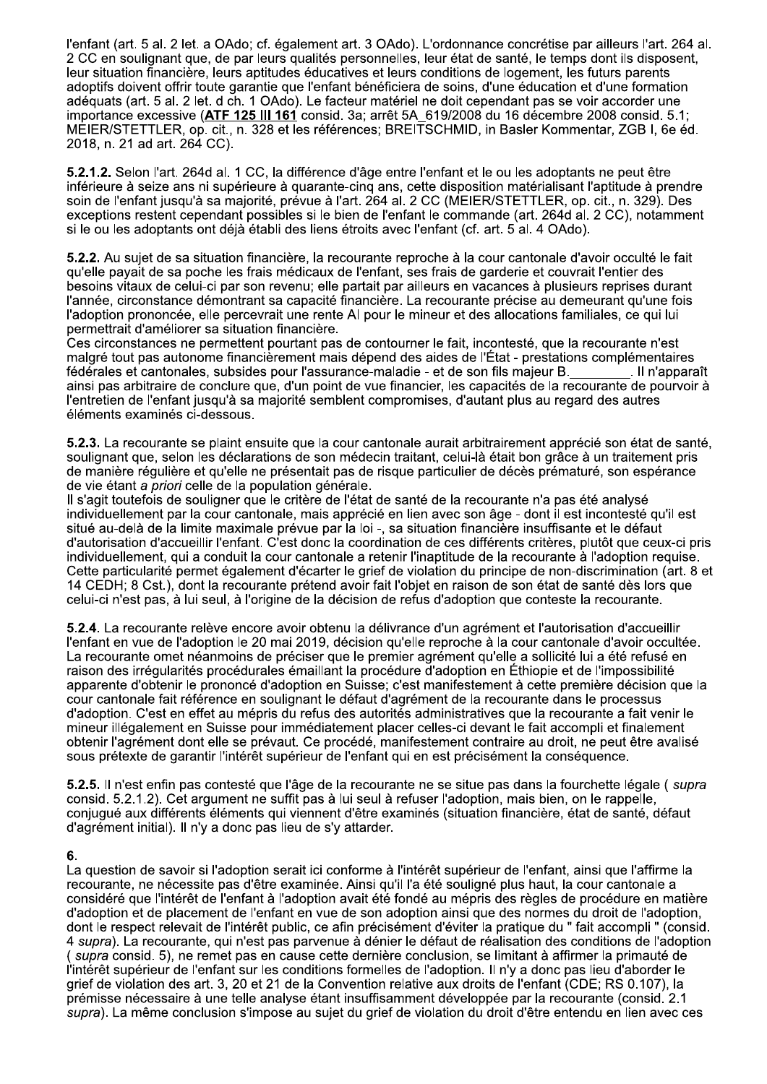l'enfant (art. 5 al. 2 let. a OAdo; cf. également art. 3 OAdo). L'ordonnance concrétise par ailleurs l'art. 264 al. 2 CC en soulignant que, de par leurs qualités personnelles, leur état de santé, le temps dont ils disposent, leur situation financière, leurs aptitudes éducatives et leurs conditions de logement, les futurs parents adoptifs doivent offrir toute garantie que l'enfant bénéficiera de soins, d'une éducation et d'une formation adéquats (art. 5 al. 2 let. d ch. 1 OAdo). Le facteur matériel ne doit cependant pas se voir accorder une importance excessive (ATF 125 III 161 consid. 3a; arrêt 5A 619/2008 du 16 décembre 2008 consid. 5.1; MEIER/STETTLER, op. cit., n. 328 et les références; BREITSCHMID, in Basler Kommentar, ZGB I, 6e éd. 2018, n. 21 ad art. 264 CC).

5.2.1.2. Selon l'art. 264d al. 1 CC, la différence d'âge entre l'enfant et le ou les adoptants ne peut être inférieure à seize ans ni supérieure à quarante-cing ans, cette disposition matérialisant l'aptitude à prendre soin de l'enfant jusqu'à sa majorité, prévue à l'art. 264 al. 2 CC (MEIER/STETTLER, op. cit., n. 329). Des exceptions restent cependant possibles si le bien de l'enfant le commande (art. 264d al. 2 CC), notamment si le ou les adoptants ont déjà établi des liens étroits avec l'enfant (cf. art. 5 al. 4 OAdo).

5.2.2. Au sujet de sa situation financière, la recourante reproche à la cour cantonale d'avoir occulté le fait qu'elle payait de sa poche les frais médicaux de l'enfant, ses frais de garderie et couvrait l'entier des besoins vitaux de celui-ci par son revenu; elle partait par ailleurs en vacances à plusieurs reprises durant l'année, circonstance démontrant sa capacité financière. La recourante précise au demeurant qu'une fois l'adoption prononcée, elle percevrait une rente AI pour le mineur et des allocations familiales, ce qui lui permettrait d'améliorer sa situation financière.

Ces circonstances ne permettent pourtant pas de contourner le fait, incontesté, que la recourante n'est malgré tout pas autonome financièrement mais dépend des aides de l'État - prestations complémentaires fédérales et cantonales, subsides pour l'assurance-maladie - et de son fils majeur B. . Il n'apparaît ainsi pas arbitraire de conclure que, d'un point de vue financier, les capacités de la recourante de pourvoir à l'entretien de l'enfant jusqu'à sa majorité semblent compromises, d'autant plus au regard des autres éléments examinés ci-dessous.

5.2.3. La recourante se plaint ensuite que la cour cantonale aurait arbitrairement apprécié son état de santé, soulignant que, selon les déclarations de son médecin traitant, celui-là était bon grâce à un traitement pris de manière régulière et qu'elle ne présentait pas de risque particulier de décès prématuré, son espérance de vie étant a priori celle de la population générale.

Il s'agit toutefois de souligner que le critère de l'état de santé de la recourante n'a pas été analysé individuellement par la cour cantonale, mais apprécié en lien avec son âge - dont il est incontesté qu'il est situé au-delà de la limite maximale prévue par la loi -, sa situation financière insuffisante et le défaut d'autorisation d'accueillir l'enfant. C'est donc la coordination de ces différents critères, plutôt que ceux-ci pris individuellement, qui a conduit la cour cantonale a retenir l'inaptitude de la recourante à l'adoption requise. Cette particularité permet également d'écarter le grief de violation du principe de non-discrimination (art. 8 et 14 CEDH; 8 Cst.), dont la recourante prétend avoir fait l'objet en raison de son état de santé dès lors que celui-ci n'est pas, à lui seul, à l'origine de la décision de refus d'adoption que conteste la recourante.

5.2.4. La recourante relève encore avoir obtenu la délivrance d'un agrément et l'autorisation d'accueillir l'enfant en vue de l'adoption le 20 mai 2019, décision qu'elle reproche à la cour cantonale d'avoir occultée. La recourante omet néanmoins de préciser que le premier agrément qu'elle a sollicité lui a été refusé en raison des irrégularités procédurales émaillant la procédure d'adoption en Éthiopie et de l'impossibilité apparente d'obtenir le prononcé d'adoption en Suisse; c'est manifestement à cette première décision que la cour cantonale fait référence en soulignant le défaut d'agrément de la recourante dans le processus d'adoption. C'est en effet au mépris du refus des autorités administratives que la recourante a fait venir le mineur illégalement en Suisse pour immédiatement placer celles-ci devant le fait accompli et finalement obtenir l'agrément dont elle se prévaut. Ce procédé, manifestement contraire au droit, ne peut être avalisé sous prétexte de garantir l'intérêt supérieur de l'enfant qui en est précisément la conséquence.

5.2.5. Il n'est enfin pas contesté que l'âge de la recourante ne se situe pas dans la fourchette légale (supra consid, 5.2.1.2). Cet argument ne suffit pas à lui seul à refuser l'adoption, mais bien, on le rappelle. conjugué aux différents éléments qui viennent d'être examinés (situation financière, état de santé, défaut d'agrément initial). Il n'y a donc pas lieu de s'y attarder.

## 6.

La question de savoir si l'adoption serait ici conforme à l'intérêt supérieur de l'enfant, ainsi que l'affirme la recourante, ne nécessite pas d'être examinée. Ainsi qu'il l'a été souligné plus haut, la cour cantonale a considéré que l'intérêt de l'enfant à l'adoption avait été fondé au mépris des règles de procédure en matière d'adoption et de placement de l'enfant en vue de son adoption ainsi que des normes du droit de l'adoption, dont le respect relevait de l'intérêt public, ce afin précisément d'éviter la pratique du "fait accompli " (consid. 4 supra). La recourante, qui n'est pas parvenue à dénier le défaut de réalisation des conditions de l'adoption (supra consid. 5), ne remet pas en cause cette dernière conclusion, se limitant à affirmer la primauté de l'intérêt supérieur de l'enfant sur les conditions formelles de l'adoption. Il n'y a donc pas lieu d'aborder le grief de violation des art. 3, 20 et 21 de la Convention relative aux droits de l'enfant (CDE; RS 0.107), la prémisse nécessaire à une telle analyse étant insuffisamment développée par la recourante (consid. 2.1 supra). La même conclusion s'impose au sujet du grief de violation du droit d'être entendu en lien avec ces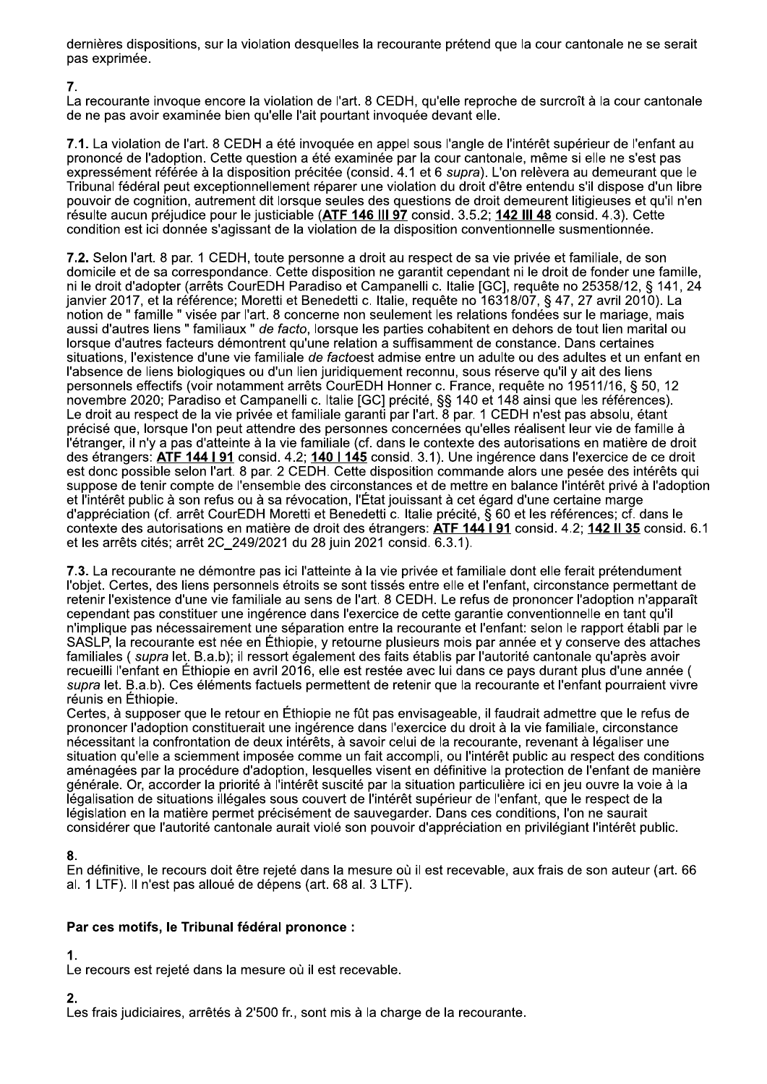dernières dispositions, sur la violation desquelles la recourante prétend que la cour cantonale ne se serait pas exprimée.

## 7.

La recourante invoque encore la violation de l'art. 8 CEDH, qu'elle reproche de surcroît à la cour cantonale de ne pas avoir examinée bien qu'elle l'ait pourtant invoquée devant elle.

7.1. La violation de l'art. 8 CEDH a été invoquée en appel sous l'angle de l'intérêt supérieur de l'enfant au prononcé de l'adoption. Cette question a été examinée par la cour cantonale, même si elle ne s'est pas expressément référée à la disposition précitée (consid. 4.1 et 6 supra). L'on relèvera au demeurant que le Tribunal fédéral peut exceptionnellement réparer une violation du droit d'être entendu s'il dispose d'un libre pouvoir de cognition, autrement dit lorsque seules des questions de droit demeurent litigieuses et qu'il n'en résulte aucun préjudice pour le justiciable (ATF 146 III 97 consid. 3.5.2; 142 III 48 consid. 4.3). Cette condition est ici donnée s'agissant de la violation de la disposition conventionnelle susmentionnée.

7.2. Selon l'art. 8 par. 1 CEDH, toute personne a droit au respect de sa vie privée et familiale, de son domicile et de sa correspondance. Cette disposition ne garantit cependant ni le droit de fonder une famille, ni le droit d'adopter (arrêts CourEDH Paradiso et Campanelli c. Italie [GC], requête no 25358/12, § 141, 24 janvier 2017, et la référence; Moretti et Benedetti c. Italie, requête no 16318/07, § 47, 27 avril 2010). La notion de "famille " visée par l'art. 8 concerne non seulement les relations fondées sur le mariage, mais aussi d'autres liens " familiaux " de facto, lorsque les parties cohabitent en dehors de tout lien marital ou lorsque d'autres facteurs démontrent qu'une relation a suffisamment de constance. Dans certaines situations, l'existence d'une vie familiale de factoest admise entre un adulte ou des adultes et un enfant en l'absence de liens biologiques ou d'un lien juridiquement reconnu, sous réserve qu'il y ait des liens personnels effectifs (voir notamment arrêts CourEDH Honner c. France, requête no 19511/16, § 50, 12 novembre 2020; Paradiso et Campanelli c. Italie [GC] précité, §§ 140 et 148 ainsi que les références). Le droit au respect de la vie privée et familiale garanti par l'art. 8 par. 1 CEDH n'est pas absolu, étant précisé que, lorsque l'on peut attendre des personnes concernées qu'elles réalisent leur vie de famille à l'étranger, il n'y a pas d'atteinte à la vie familiale (cf. dans le contexte des autorisations en matière de droit des étrangers: ATF 144 I 91 consid. 4.2; 140 I 145 consid. 3.1). Une ingérence dans l'exercice de ce droit est donc possible selon l'art. 8 par. 2 CEDH. Cette disposition commande alors une pesée des intérêts qui suppose de tenir compte de l'ensemble des circonstances et de mettre en balance l'intérêt privé à l'adoption et l'intérêt public à son refus ou à sa révocation, l'État jouissant à cet égard d'une certaine marge d'appréciation (cf. arrêt CourEDH Moretti et Benedetti c. Italie précité, § 60 et les références; cf. dans le contexte des autorisations en matière de droit des étrangers: ATF 144 191 consid. 4.2; 142 Il 35 consid. 6.1 et les arrêts cités; arrêt 2C 249/2021 du 28 juin 2021 consid. 6.3.1).

7.3. La recourante ne démontre pas ici l'atteinte à la vie privée et familiale dont elle ferait prétendument l'objet. Certes, des liens personnels étroits se sont tissés entre elle et l'enfant, circonstance permettant de retenir l'existence d'une vie familiale au sens de l'art. 8 CEDH. Le refus de prononcer l'adoption n'apparaît cependant pas constituer une ingérence dans l'exercice de cette garantie conventionnelle en tant qu'il n'implique pas nécessairement une séparation entre la recourante et l'enfant: selon le rapport établi par le SASLP, la recourante est née en Éthiopie, y retourne plusieurs mois par année et y conserve des attaches familiales (supra let. B.a.b); il ressort également des faits établis par l'autorité cantonale qu'après avoir recueilli l'enfant en Éthiopie en avril 2016, elle est restée avec lui dans ce pays durant plus d'une année ( supra let. B.a.b). Ces éléments factuels permettent de retenir que la recourante et l'enfant pourraient vivre réunis en Éthiopie.

Certes, à supposer que le retour en Éthiopie ne fût pas envisageable, il faudrait admettre que le refus de prononcer l'adoption constituerait une ingérence dans l'exercice du droit à la vie familiale, circonstance nécessitant la confrontation de deux intérêts, à savoir celui de la recourante, revenant à légaliser une situation qu'elle a sciemment imposée comme un fait accompli, ou l'intérêt public au respect des conditions aménagées par la procédure d'adoption, lesquelles visent en définitive la protection de l'enfant de manière générale. Or, accorder la priorité à l'intérêt suscité par la situation particulière ici en jeu ouvre la voie à la légalisation de situations illégales sous couvert de l'intérêt supérieur de l'enfant, que le respect de la législation en la matière permet précisément de sauvegarder. Dans ces conditions, l'on ne saurait considérer que l'autorité cantonale aurait violé son pouvoir d'appréciation en privilégiant l'intérêt public.

# 8.

En définitive, le recours doit être rejeté dans la mesure où il est recevable, aux frais de son auteur (art. 66 al. 1 LTF). Il n'est pas alloué de dépens (art. 68 al. 3 LTF).

# Par ces motifs, le Tribunal fédéral prononce :

# 1

Le recours est rejeté dans la mesure où il est recevable.

# $\mathbf{r}$

Les frais judiciaires, arrêtés à 2'500 fr., sont mis à la charge de la recourante.